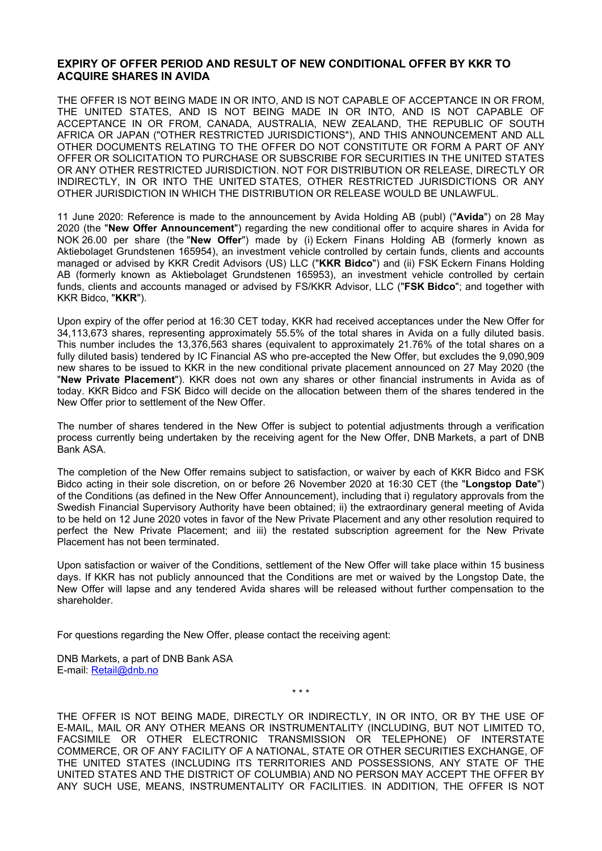## **EXPIRY OF OFFER PERIOD AND RESULT OF NEW CONDITIONAL OFFER BY KKR TO ACQUIRE SHARES IN AVIDA**

THE OFFER IS NOT BEING MADE IN OR INTO, AND IS NOT CAPABLE OF ACCEPTANCE IN OR FROM, THE UNITED STATES, AND IS NOT BEING MADE IN OR INTO, AND IS NOT CAPABLE OF ACCEPTANCE IN OR FROM, CANADA, AUSTRALIA, NEW ZEALAND, THE REPUBLIC OF SOUTH AFRICA OR JAPAN ("OTHER RESTRICTED JURISDICTIONS"), AND THIS ANNOUNCEMENT AND ALL OTHER DOCUMENTS RELATING TO THE OFFER DO NOT CONSTITUTE OR FORM A PART OF ANY OFFER OR SOLICITATION TO PURCHASE OR SUBSCRIBE FOR SECURITIES IN THE UNITED STATES OR ANY OTHER RESTRICTED JURISDICTION. NOT FOR DISTRIBUTION OR RELEASE, DIRECTLY OR INDIRECTLY, IN OR INTO THE UNITED STATES, OTHER RESTRICTED JURISDICTIONS OR ANY OTHER JURISDICTION IN WHICH THE DISTRIBUTION OR RELEASE WOULD BE UNLAWFUL.

11 June 2020: Reference is made to the announcement by Avida Holding AB (publ) ("**Avida**") on 28 May 2020 (the "**New Offer Announcement**") regarding the new conditional offer to acquire shares in Avida for NOK 26.00 per share (the "**New Offer**") made by (i) Eckern Finans Holding AB (formerly known as Aktiebolaget Grundstenen 165954), an investment vehicle controlled by certain funds, clients and accounts managed or advised by KKR Credit Advisors (US) LLC ("**KKR Bidco**") and (ii) FSK Eckern Finans Holding AB (formerly known as Aktiebolaget Grundstenen 165953), an investment vehicle controlled by certain funds, clients and accounts managed or advised by FS/KKR Advisor, LLC ("**FSK Bidco**"; and together with KKR Bidco, "**KKR**").

Upon expiry of the offer period at 16:30 CET today, KKR had received acceptances under the New Offer for 34,113,673 shares, representing approximately 55.5% of the total shares in Avida on a fully diluted basis. This number includes the 13,376,563 shares (equivalent to approximately 21.76% of the total shares on a fully diluted basis) tendered by IC Financial AS who pre-accepted the New Offer, but excludes the 9,090,909 new shares to be issued to KKR in the new conditional private placement announced on 27 May 2020 (the "**New Private Placement**"). KKR does not own any shares or other financial instruments in Avida as of today. KKR Bidco and FSK Bidco will decide on the allocation between them of the shares tendered in the New Offer prior to settlement of the New Offer.

The number of shares tendered in the New Offer is subject to potential adjustments through a verification process currently being undertaken by the receiving agent for the New Offer, DNB Markets, a part of DNB Bank ASA.

The completion of the New Offer remains subject to satisfaction, or waiver by each of KKR Bidco and FSK Bidco acting in their sole discretion, on or before 26 November 2020 at 16:30 CET (the "**Longstop Date**") of the Conditions (as defined in the New Offer Announcement), including that i) regulatory approvals from the Swedish Financial Supervisory Authority have been obtained; ii) the extraordinary general meeting of Avida to be held on 12 June 2020 votes in favor of the New Private Placement and any other resolution required to perfect the New Private Placement; and iii) the restated subscription agreement for the New Private Placement has not been terminated.

Upon satisfaction or waiver of the Conditions, settlement of the New Offer will take place within 15 business days. If KKR has not publicly announced that the Conditions are met or waived by the Longstop Date, the New Offer will lapse and any tendered Avida shares will be released without further compensation to the shareholder.

For questions regarding the New Offer, please contact the receiving agent:

DNB Markets, a part of DNB Bank ASA E-mail: [Retail@dnb.no](mailto:Retail@dnb.no)

\* \* \*

THE OFFER IS NOT BEING MADE, DIRECTLY OR INDIRECTLY, IN OR INTO, OR BY THE USE OF E-MAIL, MAIL OR ANY OTHER MEANS OR INSTRUMENTALITY (INCLUDING, BUT NOT LIMITED TO, FACSIMILE OR OTHER ELECTRONIC TRANSMISSION OR TELEPHONE) OF INTERSTATE COMMERCE, OR OF ANY FACILITY OF A NATIONAL, STATE OR OTHER SECURITIES EXCHANGE, OF THE UNITED STATES (INCLUDING ITS TERRITORIES AND POSSESSIONS, ANY STATE OF THE UNITED STATES AND THE DISTRICT OF COLUMBIA) AND NO PERSON MAY ACCEPT THE OFFER BY ANY SUCH USE, MEANS, INSTRUMENTALITY OR FACILITIES. IN ADDITION, THE OFFER IS NOT